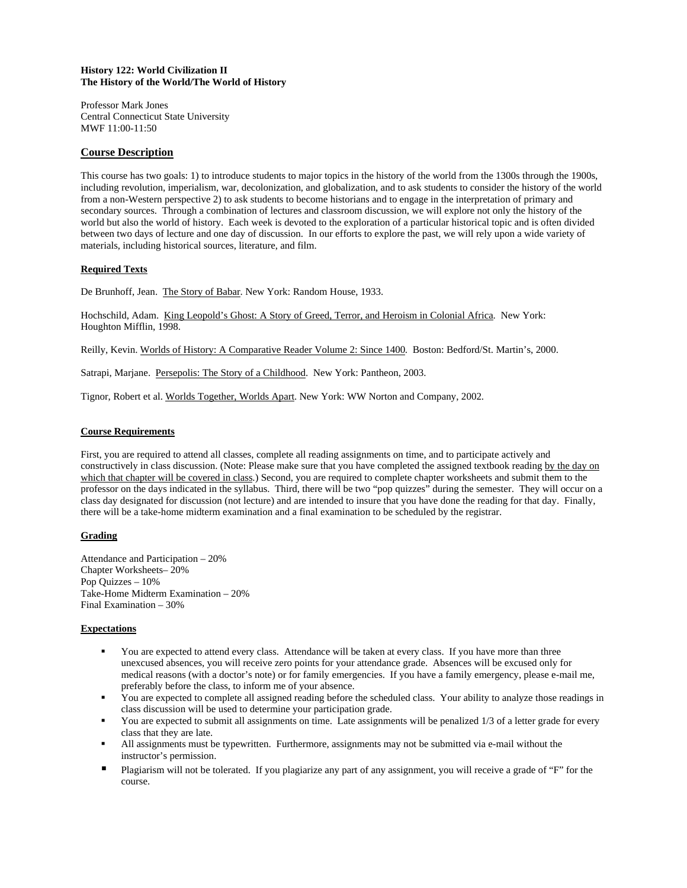# **History 122: World Civilization II The History of the World/The World of History**

Professor Mark Jones Central Connecticut State University MWF 11:00-11:50

# **Course Description**

This course has two goals: 1) to introduce students to major topics in the history of the world from the 1300s through the 1900s, including revolution, imperialism, war, decolonization, and globalization, and to ask students to consider the history of the world from a non-Western perspective 2) to ask students to become historians and to engage in the interpretation of primary and secondary sources. Through a combination of lectures and classroom discussion, we will explore not only the history of the world but also the world of history. Each week is devoted to the exploration of a particular historical topic and is often divided between two days of lecture and one day of discussion. In our efforts to explore the past, we will rely upon a wide variety of materials, including historical sources, literature, and film.

# **Required Texts**

De Brunhoff, Jean. The Story of Babar. New York: Random House, 1933.

Hochschild, Adam. King Leopold's Ghost: A Story of Greed, Terror, and Heroism in Colonial Africa. New York: Houghton Mifflin, 1998.

Reilly, Kevin. Worlds of History: A Comparative Reader Volume 2: Since 1400. Boston: Bedford/St. Martin's, 2000.

Satrapi, Marjane. Persepolis: The Story of a Childhood. New York: Pantheon, 2003.

Tignor, Robert et al. Worlds Together, Worlds Apart. New York: WW Norton and Company, 2002.

# **Course Requirements**

First, you are required to attend all classes, complete all reading assignments on time, and to participate actively and constructively in class discussion. (Note: Please make sure that you have completed the assigned textbook reading by the day on which that chapter will be covered in class.) Second, you are required to complete chapter worksheets and submit them to the professor on the days indicated in the syllabus. Third, there will be two "pop quizzes" during the semester. They will occur on a class day designated for discussion (not lecture) and are intended to insure that you have done the reading for that day. Finally, there will be a take-home midterm examination and a final examination to be scheduled by the registrar.

# **Grading**

Attendance and Participation – 20% Chapter Worksheets– 20% Pop Quizzes – 10% Take-Home Midterm Examination – 20% Final Examination – 30%

### **Expectations**

- You are expected to attend every class. Attendance will be taken at every class. If you have more than three unexcused absences, you will receive zero points for your attendance grade. Absences will be excused only for medical reasons (with a doctor's note) or for family emergencies. If you have a family emergency, please e-mail me, preferably before the class, to inform me of your absence.
- You are expected to complete all assigned reading before the scheduled class. Your ability to analyze those readings in class discussion will be used to determine your participation grade.
- You are expected to submit all assignments on time. Late assignments will be penalized 1/3 of a letter grade for every class that they are late.
- All assignments must be typewritten. Furthermore, assignments may not be submitted via e-mail without the instructor's permission.
- Plagiarism will not be tolerated. If you plagiarize any part of any assignment, you will receive a grade of "F" for the course.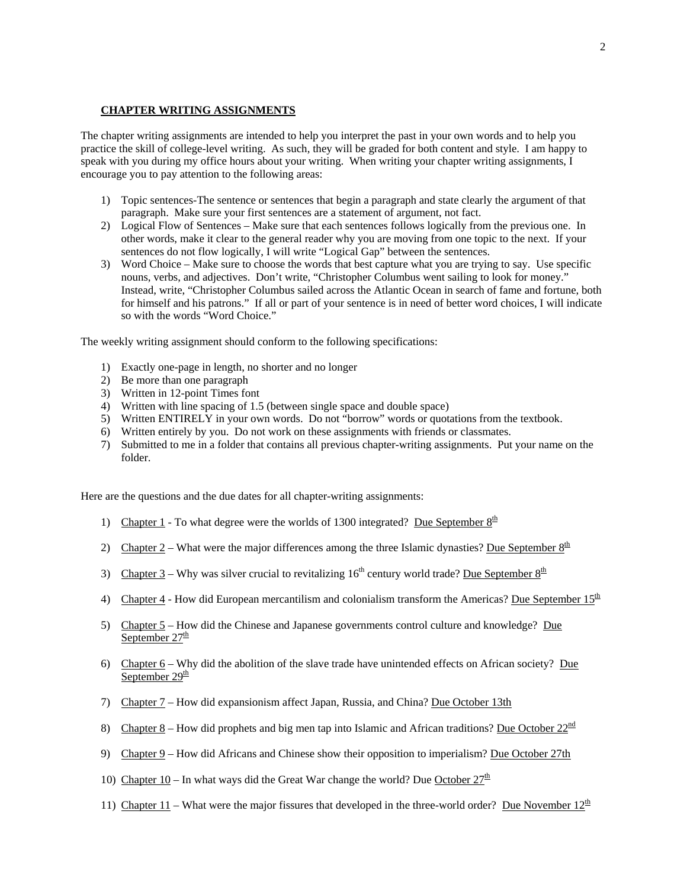# **CHAPTER WRITING ASSIGNMENTS**

The chapter writing assignments are intended to help you interpret the past in your own words and to help you practice the skill of college-level writing. As such, they will be graded for both content and style. I am happy to speak with you during my office hours about your writing. When writing your chapter writing assignments, I encourage you to pay attention to the following areas:

- 1) Topic sentences-The sentence or sentences that begin a paragraph and state clearly the argument of that paragraph. Make sure your first sentences are a statement of argument, not fact.
- 2) Logical Flow of Sentences Make sure that each sentences follows logically from the previous one. In other words, make it clear to the general reader why you are moving from one topic to the next. If your sentences do not flow logically, I will write "Logical Gap" between the sentences.
- 3) Word Choice Make sure to choose the words that best capture what you are trying to say. Use specific nouns, verbs, and adjectives. Don't write, "Christopher Columbus went sailing to look for money." Instead, write, "Christopher Columbus sailed across the Atlantic Ocean in search of fame and fortune, both for himself and his patrons." If all or part of your sentence is in need of better word choices, I will indicate so with the words "Word Choice."

The weekly writing assignment should conform to the following specifications:

- 1) Exactly one-page in length, no shorter and no longer
- 2) Be more than one paragraph
- 3) Written in 12-point Times font
- 4) Written with line spacing of 1.5 (between single space and double space)
- 5) Written ENTIRELY in your own words. Do not "borrow" words or quotations from the textbook.
- 6) Written entirely by you. Do not work on these assignments with friends or classmates.
- 7) Submitted to me in a folder that contains all previous chapter-writing assignments. Put your name on the folder.

Here are the questions and the due dates for all chapter-writing assignments:

- 1) Chapter 1 To what degree were the worlds of 1300 integrated? Due September  $8^{\underline{th}}$
- 2) Chapter 2 What were the major differences among the three Islamic dynasties? Due September  $8<sup>th</sup>$
- 3) Chapter 3 Why was silver crucial to revitalizing  $16<sup>th</sup>$  century world trade? Due September  $8<sup>th</sup>$
- 4) Chapter 4 How did European mercantilism and colonialism transform the Americas? Due September  $15<sup>th</sup>$
- 5) Chapter 5 How did the Chinese and Japanese governments control culture and knowledge? Due September  $27^{\underline{th}}$
- 6) Chapter 6 Why did the abolition of the slave trade have unintended effects on African society? Due September  $29<sup>th</sup>$
- 7) Chapter 7 How did expansionism affect Japan, Russia, and China? Due October 13th
- 8) Chapter 8 How did prophets and big men tap into Islamic and African traditions? Due October  $22^{\text{nd}}$
- 9) Chapter 9 How did Africans and Chinese show their opposition to imperialism? Due October 27th
- 10) Chapter 10 In what ways did the Great War change the world? Due October  $27^{\underline{th}}$
- 11) Chapter 11 What were the major fissures that developed in the three-world order? Due November  $12^{\underline{n}}$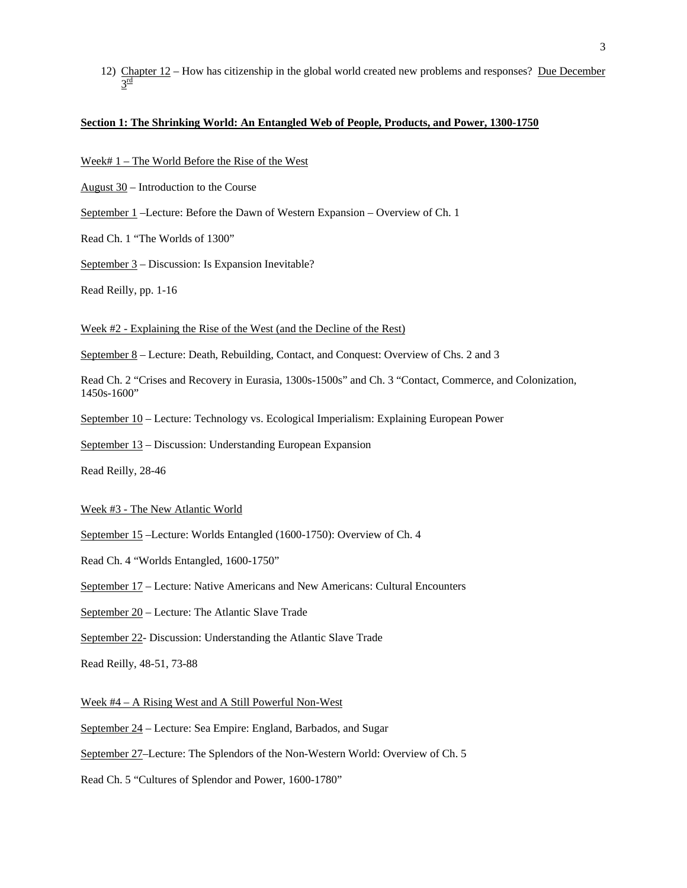12) Chapter 12 – How has citizenship in the global world created new problems and responses? Due December  $3^{\underline{\text{rd}}}$ 

# **Section 1: The Shrinking World: An Entangled Web of People, Products, and Power, 1300-1750**

Week# 1 – The World Before the Rise of the West

August 30 – Introduction to the Course

September 1 –Lecture: Before the Dawn of Western Expansion – Overview of Ch. 1

Read Ch. 1 "The Worlds of 1300"

September 3 – Discussion: Is Expansion Inevitable?

Read Reilly, pp. 1-16

Week #2 - Explaining the Rise of the West (and the Decline of the Rest)

September 8 – Lecture: Death, Rebuilding, Contact, and Conquest: Overview of Chs. 2 and 3

Read Ch. 2 "Crises and Recovery in Eurasia, 1300s-1500s" and Ch. 3 "Contact, Commerce, and Colonization, 1450s-1600"

September 10 – Lecture: Technology vs. Ecological Imperialism: Explaining European Power

September 13 – Discussion: Understanding European Expansion

Read Reilly, 28-46

Week #3 - The New Atlantic World

September 15 –Lecture: Worlds Entangled (1600-1750): Overview of Ch. 4

Read Ch. 4 "Worlds Entangled, 1600-1750"

September 17 – Lecture: Native Americans and New Americans: Cultural Encounters

September 20 – Lecture: The Atlantic Slave Trade

September 22- Discussion: Understanding the Atlantic Slave Trade

Read Reilly, 48-51, 73-88

Week #4 – A Rising West and A Still Powerful Non-West

September 24 – Lecture: Sea Empire: England, Barbados, and Sugar

September 27–Lecture: The Splendors of the Non-Western World: Overview of Ch. 5

Read Ch. 5 "Cultures of Splendor and Power, 1600-1780"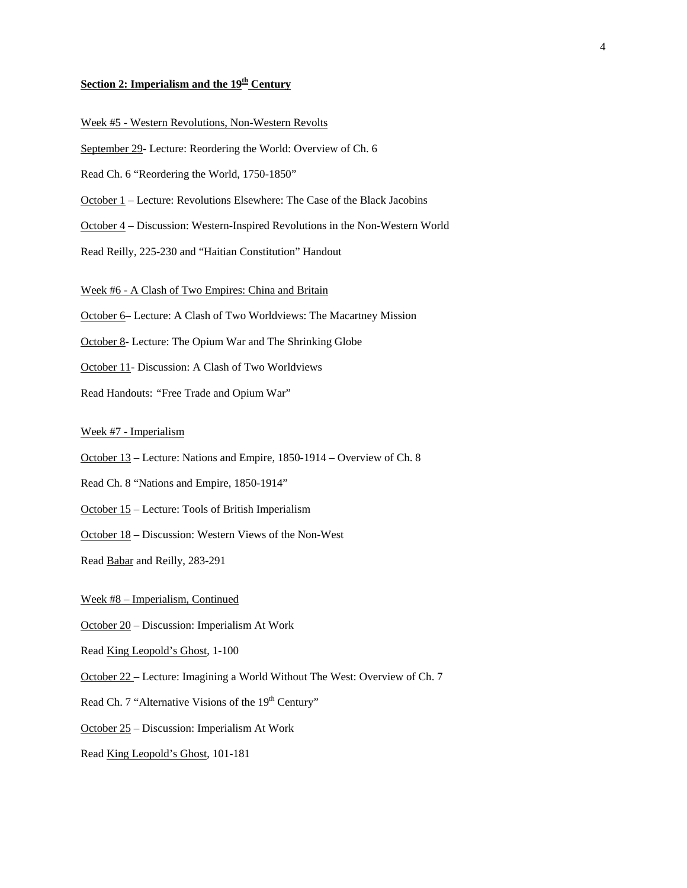# **Section 2: Imperialism and the 19th Century**

# Week #5 - Western Revolutions, Non-Western Revolts

September 29- Lecture: Reordering the World: Overview of Ch. 6

Read Ch. 6 "Reordering the World, 1750-1850"

October 1 – Lecture: Revolutions Elsewhere: The Case of the Black Jacobins

October 4 – Discussion: Western-Inspired Revolutions in the Non-Western World

Read Reilly, 225-230 and "Haitian Constitution" Handout

Week #6 - A Clash of Two Empires: China and Britain

October 6– Lecture: A Clash of Two Worldviews: The Macartney Mission

October 8- Lecture: The Opium War and The Shrinking Globe

October 11- Discussion: A Clash of Two Worldviews

Read Handouts: *"*Free Trade and Opium War"

### Week #7 - Imperialism

October 13 – Lecture: Nations and Empire, 1850-1914 – Overview of Ch. 8

- Read Ch. 8 "Nations and Empire, 1850-1914"
- October 15 Lecture: Tools of British Imperialism
- October 18 Discussion: Western Views of the Non-West

Read Babar and Reilly, 283-291

### Week #8 – Imperialism, Continued

October 20 – Discussion: Imperialism At Work

Read King Leopold's Ghost, 1-100

October 22 – Lecture: Imagining a World Without The West: Overview of Ch. 7

Read Ch. 7 "Alternative Visions of the 19<sup>th</sup> Century"

October 25 – Discussion: Imperialism At Work

Read King Leopold's Ghost, 101-181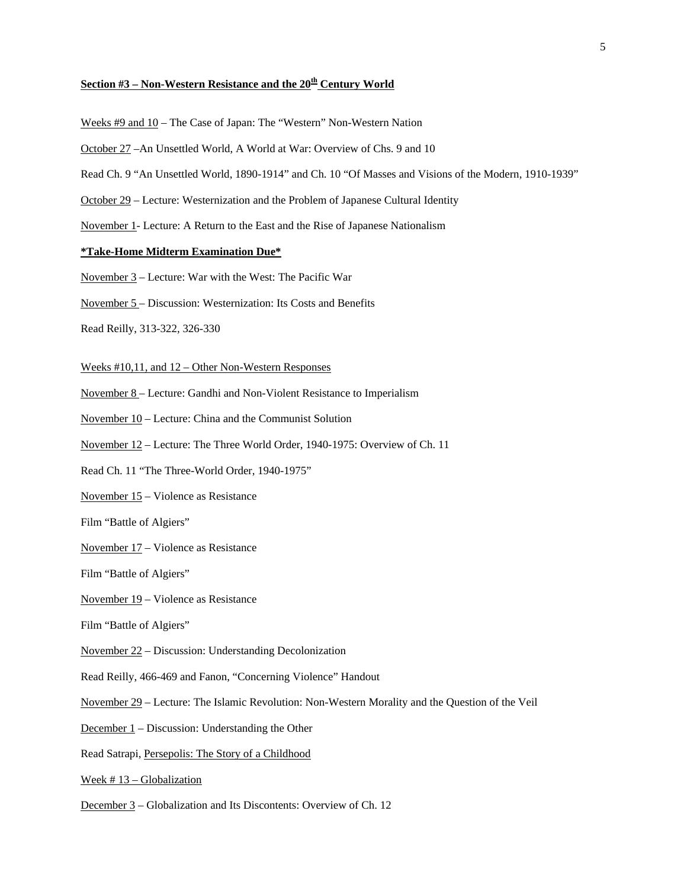# **Section #3 – Non-Western Resistance and the 20th Century World**

- Weeks #9 and 10 The Case of Japan: The "Western" Non-Western Nation
- October 27 –An Unsettled World, A World at War: Overview of Chs. 9 and 10
- Read Ch. 9 "An Unsettled World, 1890-1914" and Ch. 10 "Of Masses and Visions of the Modern, 1910-1939"
- October 29 Lecture: Westernization and the Problem of Japanese Cultural Identity
- November 1- Lecture: A Return to the East and the Rise of Japanese Nationalism

## **\*Take-Home Midterm Examination Due\***

- November 3 Lecture: War with the West: The Pacific War
- November 5 Discussion: Westernization: Its Costs and Benefits
- Read Reilly, 313-322, 326-330

#### Weeks #10,11, and 12 – Other Non-Western Responses

- November 8 Lecture: Gandhi and Non-Violent Resistance to Imperialism
- November 10 Lecture: China and the Communist Solution
- November 12 Lecture: The Three World Order, 1940-1975: Overview of Ch. 11
- Read Ch. 11 "The Three-World Order, 1940-1975"
- November 15 Violence as Resistance
- Film "Battle of Algiers"
- November 17 Violence as Resistance
- Film "Battle of Algiers"
- November 19 Violence as Resistance
- Film "Battle of Algiers"
- November 22 Discussion: Understanding Decolonization
- Read Reilly, 466-469 and Fanon, "Concerning Violence" Handout
- November 29 Lecture: The Islamic Revolution: Non-Western Morality and the Question of the Veil
- December 1 Discussion: Understanding the Other
- Read Satrapi, Persepolis: The Story of a Childhood
- Week # 13 Globalization
- December 3 Globalization and Its Discontents: Overview of Ch. 12